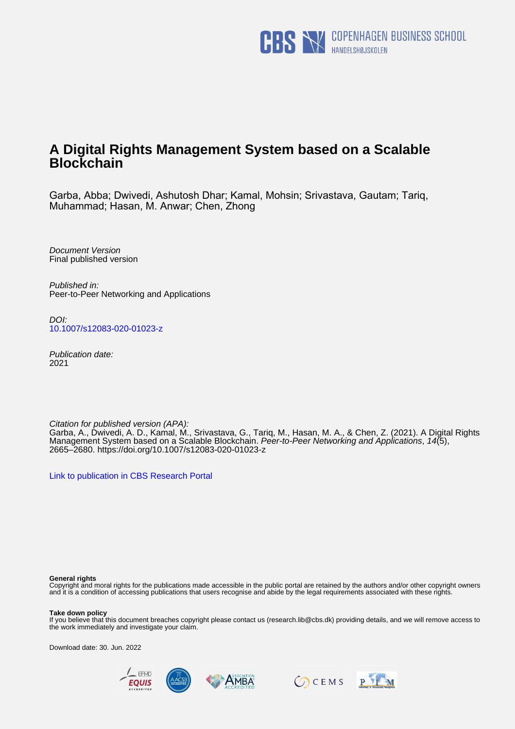

# **A Digital Rights Management System based on a Scalable Blockchain**

Garba, Abba; Dwivedi, Ashutosh Dhar; Kamal, Mohsin; Srivastava, Gautam; Tariq, Muhammad; Hasan, M. Anwar; Chen, Zhong

Document Version Final published version

Published in: Peer-to-Peer Networking and Applications

DOI: [10.1007/s12083-020-01023-z](https://doi.org/10.1007/s12083-020-01023-z)

Publication date: 2021

Citation for published version (APA): Garba, A., Dwivedi, A. D., Kamal, M., Srivastava, G., Tariq, M., Hasan, M. A., & Chen, Z. (2021). A Digital Rights Management System based on a Scalable Blockchain. Peer-to-Peer Networking and Applications, 14(5), 2665–2680. <https://doi.org/10.1007/s12083-020-01023-z>

[Link to publication in CBS Research Portal](https://research.cbs.dk/en/publications/70ad2ce7-d261-4f40-9110-db7a40f9bcad)

#### **General rights**

Copyright and moral rights for the publications made accessible in the public portal are retained by the authors and/or other copyright owners and it is a condition of accessing publications that users recognise and abide by the legal requirements associated with these rights.

#### **Take down policy**

If you believe that this document breaches copyright please contact us (research.lib@cbs.dk) providing details, and we will remove access to the work immediately and investigate your claim.

Download date: 30. Jun. 2022